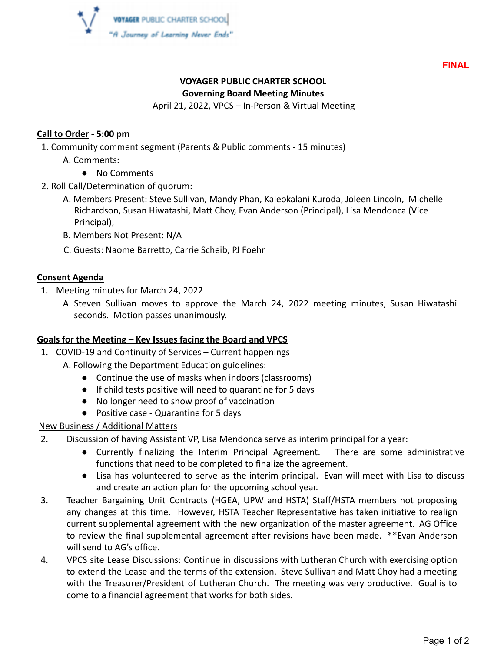

**FINAL**

# **VOYAGER PUBLIC CHARTER SCHOOL**

### **Governing Board Meeting Minutes**

April 21, 2022, VPCS – In-Person & Virtual Meeting

### **Call to Order - 5:00 pm**

1. Community comment segment (Parents & Public comments - 15 minutes)

- A. Comments:
	- No Comments
- 2. Roll Call/Determination of quorum:
	- A. Members Present: Steve Sullivan, Mandy Phan, Kaleokalani Kuroda, Joleen Lincoln, Michelle Richardson, Susan Hiwatashi, Matt Choy, Evan Anderson (Principal), Lisa Mendonca (Vice Principal),
	- B. Members Not Present: N/A
	- C. Guests: Naome Barretto, Carrie Scheib, PJ Foehr

## **Consent Agenda**

- 1. Meeting minutes for March 24, 2022
	- A. Steven Sullivan moves to approve the March 24, 2022 meeting minutes, Susan Hiwatashi seconds. Motion passes unanimously.

# **Goals for the Meeting – Key Issues facing the Board and VPCS**

- 1. COVID-19 and Continuity of Services Current happenings
	- A. Following the Department Education guidelines:
		- Continue the use of masks when indoors (classrooms)
		- If child tests positive will need to quarantine for 5 days
		- No longer need to show proof of vaccination
		- Positive case Quarantine for 5 days

### New Business / Additional Matters

- 2. Discussion of having Assistant VP, Lisa Mendonca serve as interim principal for a year:
	- Currently finalizing the Interim Principal Agreement. There are some administrative functions that need to be completed to finalize the agreement.
	- Lisa has volunteered to serve as the interim principal. Evan will meet with Lisa to discuss and create an action plan for the upcoming school year.
- 3. Teacher Bargaining Unit Contracts (HGEA, UPW and HSTA) Staff/HSTA members not proposing any changes at this time. However, HSTA Teacher Representative has taken initiative to realign current supplemental agreement with the new organization of the master agreement. AG Office to review the final supplemental agreement after revisions have been made. \*\*Evan Anderson will send to AG's office.
- 4. VPCS site Lease Discussions: Continue in discussions with Lutheran Church with exercising option to extend the Lease and the terms of the extension. Steve Sullivan and Matt Choy had a meeting with the Treasurer/President of Lutheran Church. The meeting was very productive. Goal is to come to a financial agreement that works for both sides.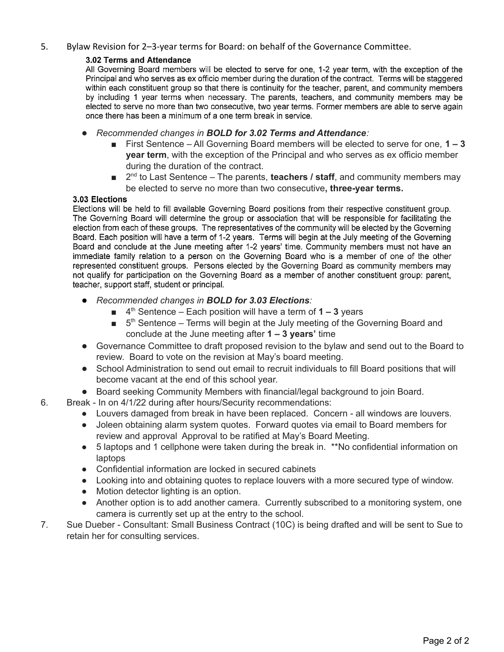### 5. Bylaw Revision for 2–3-year terms for Board: on behalf of the Governance Committee.

#### 3.02 Terms and Attendance

All Governing Board members will be elected to serve for one, 1-2 year term, with the exception of the Principal and who serves as ex officio member during the duration of the contract. Terms will be staggered within each constituent group so that there is continuity for the teacher, parent, and community members by including 1 year terms when necessary. The parents, teachers, and community members may be elected to serve no more than two consecutive, two year terms. Former members are able to serve again once there has been a minimum of a one term break in service.

- *Recommended changes in BOLD for 3.02 Terms and Attendance:*
	- First Sentence All Governing Board members will be elected to serve for one, **1 – 3 year term**, with the exception of the Principal and who serves as ex officio member during the duration of the contract.
	- 2<sup>nd</sup> to Last Sentence The parents, **teachers / staff**, and community members may be elected to serve no more than two consecutive**, three-year terms.**

#### 3.03 Elections

Elections will be held to fill available Governing Board positions from their respective constituent group. The Governing Board will determine the group or association that will be responsible for facilitating the election from each of these groups. The representatives of the community will be elected by the Governing Board. Each position will have a term of 1-2 years. Terms will begin at the July meeting of the Governing Board and conclude at the June meeting after 1-2 years' time. Community members must not have an immediate family relation to a person on the Governing Board who is a member of one of the other represented constituent groups. Persons elected by the Governing Board as community members may not qualify for participation on the Governing Board as a member of another constituent group: parent, teacher, support staff, student or principal.

- *Recommended changes in BOLD for 3.03 Elections:*
	- 4<sup>th</sup> Sentence Each position will have a term of **1 3** years
	- $\blacksquare$  5<sup>th</sup> Sentence Terms will begin at the July meeting of the Governing Board and conclude at the June meeting after **1 – 3 years'** time
- Governance Committee to draft proposed revision to the bylaw and send out to the Board to review. Board to vote on the revision at May's board meeting.
- School Administration to send out email to recruit individuals to fill Board positions that will become vacant at the end of this school year.
- Board seeking Community Members with financial/legal background to join Board.
- 6. Break In on 4/1/22 during after hours/Security recommendations:
	- Louvers damaged from break in have been replaced. Concern all windows are louvers.
	- Joleen obtaining alarm system quotes. Forward quotes via email to Board members for review and approval Approval to be ratified at May's Board Meeting.
	- 5 laptops and 1 cellphone were taken during the break in. \*\*No confidential information on laptops
	- Confidential information are locked in secured cabinets
	- Looking into and obtaining quotes to replace louvers with a more secured type of window.
	- Motion detector lighting is an option.
	- Another option is to add another camera. Currently subscribed to a monitoring system, one camera is currently set up at the entry to the school.
- 7. Sue Dueber Consultant: Small Business Contract (10C) is being drafted and will be sent to Sue to retain her for consulting services.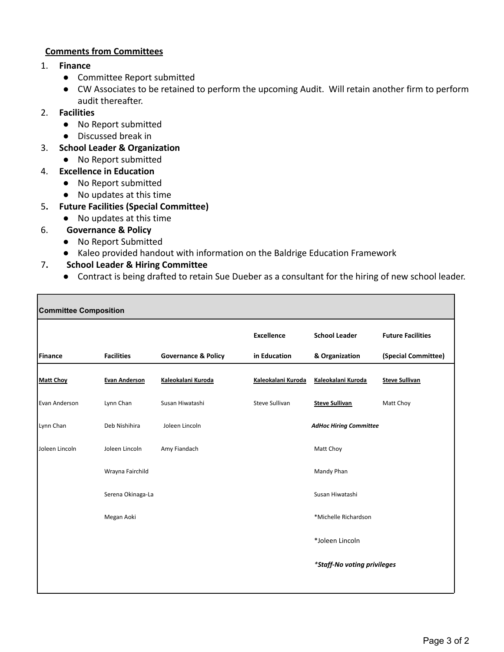## **Comments from Committees**

- 1. **Finance**
	- Committee Report submitted
	- CW Associates to be retained to perform the upcoming Audit. Will retain another firm to perform audit thereafter.

## 2. **Facilities**

г

- No Report submitted
- Discussed break in
- 3. **School Leader & Organization**
	- No Report submitted
- 4. **Excellence in Education**
	- No Report submitted
	- No updates at this time
- 5**. Future Facilities (Special Committee)**
	- No updates at this time
- 6. **Governance & Policy**
	- No Report Submitted
	- Kaleo provided handout with information on the Baldrige Education Framework

# 7**. School Leader & Hiring Committee**

● Contract is being drafted to retain Sue Dueber as a consultant for the hiring of new school leader.

| <b>Committee Composition</b> |                      |                                |                       |                               |                          |
|------------------------------|----------------------|--------------------------------|-----------------------|-------------------------------|--------------------------|
|                              |                      |                                | <b>Excellence</b>     | <b>School Leader</b>          | <b>Future Facilities</b> |
| <b>Finance</b>               | <b>Facilities</b>    | <b>Governance &amp; Policy</b> | in Education          | & Organization                | (Special Committee)      |
| <b>Matt Choy</b>             | <b>Evan Anderson</b> | Kaleokalani Kuroda             | Kaleokalani Kuroda    | Kaleokalani Kuroda            | <b>Steve Sullivan</b>    |
| Evan Anderson                | Lynn Chan            | Susan Hiwatashi                | <b>Steve Sullivan</b> | <b>Steve Sullivan</b>         | Matt Choy                |
| Lynn Chan                    | Deb Nishihira        | Joleen Lincoln                 |                       | <b>AdHoc Hiring Committee</b> |                          |
| Joleen Lincoln               | Joleen Lincoln       | Amy Fiandach                   |                       | Matt Choy                     |                          |
|                              | Wrayna Fairchild     |                                |                       | Mandy Phan                    |                          |
|                              | Serena Okinaga-La    |                                |                       | Susan Hiwatashi               |                          |
|                              | Megan Aoki           |                                |                       | *Michelle Richardson          |                          |
|                              |                      |                                |                       | *Joleen Lincoln               |                          |
|                              |                      |                                |                       | *Staff-No voting privileges   |                          |
|                              |                      |                                |                       |                               |                          |

┑